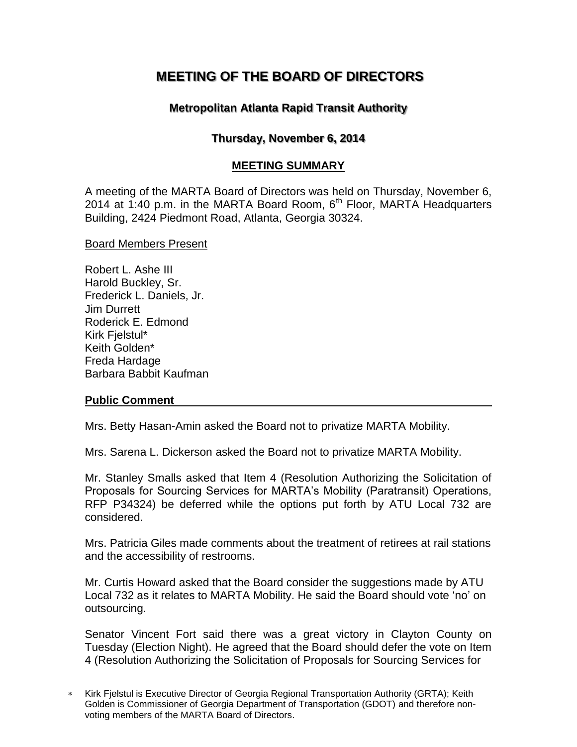# **MEETING OF THE BOARD OF DIRECTORS**

### **Metropolitan Atlanta Rapid Transit Authority**

### **Thursday, November 6, 2014**

#### **MEETING SUMMARY**

A meeting of the MARTA Board of Directors was held on Thursday, November 6, 2014 at  $1:40$  p.m. in the MARTA Board Room,  $6<sup>th</sup>$  Floor, MARTA Headquarters Building, 2424 Piedmont Road, Atlanta, Georgia 30324.

Board Members Present

Robert L. Ashe III Harold Buckley, Sr. Frederick L. Daniels, Jr. Jim Durrett Roderick E. Edmond Kirk Fjelstul\* Keith Golden\* Freda Hardage Barbara Babbit Kaufman

### **Public Comment**

Mrs. Betty Hasan-Amin asked the Board not to privatize MARTA Mobility.

Mrs. Sarena L. Dickerson asked the Board not to privatize MARTA Mobility.

Mr. Stanley Smalls asked that Item 4 (Resolution Authorizing the Solicitation of Proposals for Sourcing Services for MARTA's Mobility (Paratransit) Operations, RFP P34324) be deferred while the options put forth by ATU Local 732 are considered.

Mrs. Patricia Giles made comments about the treatment of retirees at rail stations and the accessibility of restrooms.

Mr. Curtis Howard asked that the Board consider the suggestions made by ATU Local 732 as it relates to MARTA Mobility. He said the Board should vote 'no' on outsourcing.

Senator Vincent Fort said there was a great victory in Clayton County on Tuesday (Election Night). He agreed that the Board should defer the vote on Item 4 (Resolution Authorizing the Solicitation of Proposals for Sourcing Services for

Kirk Fjelstul is Executive Director of Georgia Regional Transportation Authority (GRTA); Keith Golden is Commissioner of Georgia Department of Transportation (GDOT) and therefore nonvoting members of the MARTA Board of Directors.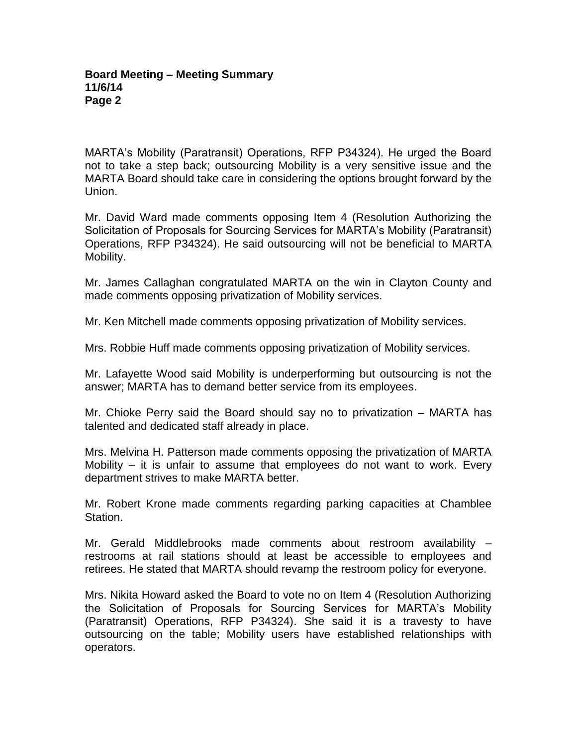MARTA's Mobility (Paratransit) Operations, RFP P34324). He urged the Board not to take a step back; outsourcing Mobility is a very sensitive issue and the MARTA Board should take care in considering the options brought forward by the Union.

Mr. David Ward made comments opposing Item 4 (Resolution Authorizing the Solicitation of Proposals for Sourcing Services for MARTA's Mobility (Paratransit) Operations, RFP P34324). He said outsourcing will not be beneficial to MARTA Mobility.

Mr. James Callaghan congratulated MARTA on the win in Clayton County and made comments opposing privatization of Mobility services.

Mr. Ken Mitchell made comments opposing privatization of Mobility services.

Mrs. Robbie Huff made comments opposing privatization of Mobility services.

Mr. Lafayette Wood said Mobility is underperforming but outsourcing is not the answer; MARTA has to demand better service from its employees.

Mr. Chioke Perry said the Board should say no to privatization – MARTA has talented and dedicated staff already in place.

Mrs. Melvina H. Patterson made comments opposing the privatization of MARTA Mobility  $-$  it is unfair to assume that employees do not want to work. Every department strives to make MARTA better.

Mr. Robert Krone made comments regarding parking capacities at Chamblee Station.

Mr. Gerald Middlebrooks made comments about restroom availability – restrooms at rail stations should at least be accessible to employees and retirees. He stated that MARTA should revamp the restroom policy for everyone.

Mrs. Nikita Howard asked the Board to vote no on Item 4 (Resolution Authorizing the Solicitation of Proposals for Sourcing Services for MARTA's Mobility (Paratransit) Operations, RFP P34324). She said it is a travesty to have outsourcing on the table; Mobility users have established relationships with operators.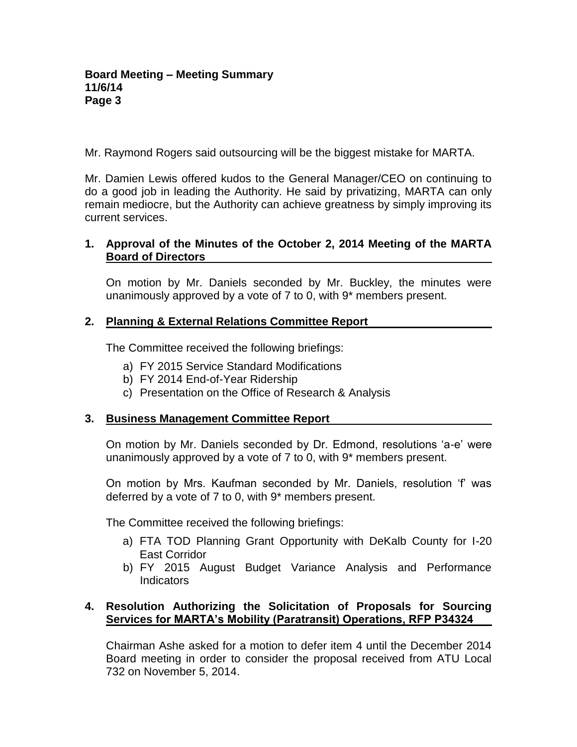Mr. Raymond Rogers said outsourcing will be the biggest mistake for MARTA.

Mr. Damien Lewis offered kudos to the General Manager/CEO on continuing to do a good job in leading the Authority. He said by privatizing, MARTA can only remain mediocre, but the Authority can achieve greatness by simply improving its current services.

### **1. Approval of the Minutes of the October 2, 2014 Meeting of the MARTA Board of Directors**

On motion by Mr. Daniels seconded by Mr. Buckley, the minutes were unanimously approved by a vote of 7 to 0, with 9\* members present.

# **2. Planning & External Relations Committee Report**

The Committee received the following briefings:

- a) FY 2015 Service Standard Modifications
- b) FY 2014 End-of-Year Ridership
- c) Presentation on the Office of Research & Analysis

### **3. Business Management Committee Report**

On motion by Mr. Daniels seconded by Dr. Edmond, resolutions 'a-e' were unanimously approved by a vote of 7 to 0, with 9\* members present.

On motion by Mrs. Kaufman seconded by Mr. Daniels, resolution 'f' was deferred by a vote of 7 to 0, with 9\* members present.

The Committee received the following briefings:

- a) FTA TOD Planning Grant Opportunity with DeKalb County for I-20 East Corridor
- b) FY 2015 August Budget Variance Analysis and Performance Indicators

### **4. Resolution Authorizing the Solicitation of Proposals for Sourcing Services for MARTA's Mobility (Paratransit) Operations, RFP P34324**

Chairman Ashe asked for a motion to defer item 4 until the December 2014 Board meeting in order to consider the proposal received from ATU Local 732 on November 5, 2014.